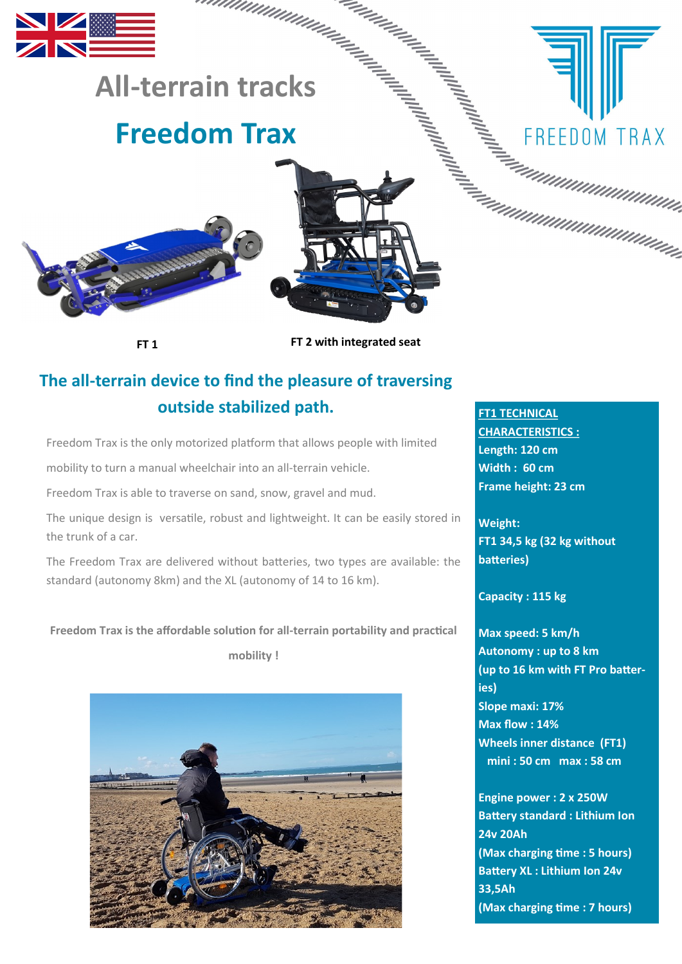

**FT 1**

**FT 2 with integrated seat**

# **The all-terrain device to find the pleasure of traversing outside stabilized path.**

Freedom Trax is the only motorized platform that allows people with limited

mobility to turn a manual wheelchair into an all-terrain vehicle.

Freedom Trax is able to traverse on sand, snow, gravel and mud.

The unique design is versatile, robust and lightweight. It can be easily stored in the trunk of a car.

The Freedom Trax are delivered without batteries, two types are available: the standard (autonomy 8km) and the XL (autonomy of 14 to 16 km).

# **Freedom Trax is the affordable solution for all-terrain portability and practical**

**mobility !**



**FT1 TECHNICAL** 

**CHARACTERISTICS : Length: 120 cm Width : 60 cm Frame height: 23 cm**

**Weight: FT1 34,5 kg (32 kg without batteries)**

# **Capacity : 115 kg**

**Max speed: 5 km/h Autonomy : up to 8 km (up to 16 km with FT Pro batteries) Slope maxi: 17% Max flow : 14% Wheels inner distance (FT1) mini : 50 cm max : 58 cm**

**Engine power : 2 x 250W Battery standard : Lithium Ion 24v 20Ah (Max charging time : 5 hours) Battery XL : Lithium Ion 24v 33,5Ah (Max charging time : 7 hours)**